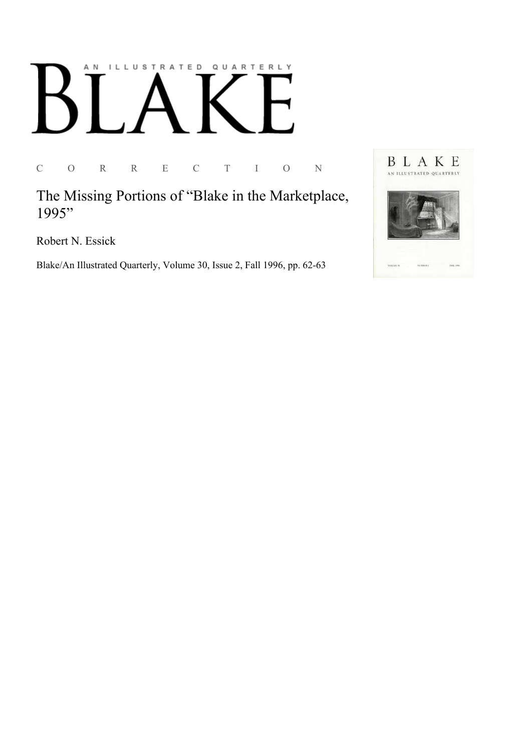## AN ILLUSTRATED QUARTERLY

C O R R E C T I O N

The Missing Portions of "Blake in the Marketplace, 1995"

Robert N. Essick

Blake/An Illustrated Quarterly, Volume 30, Issue 2, Fall 1996, pp. 62-63

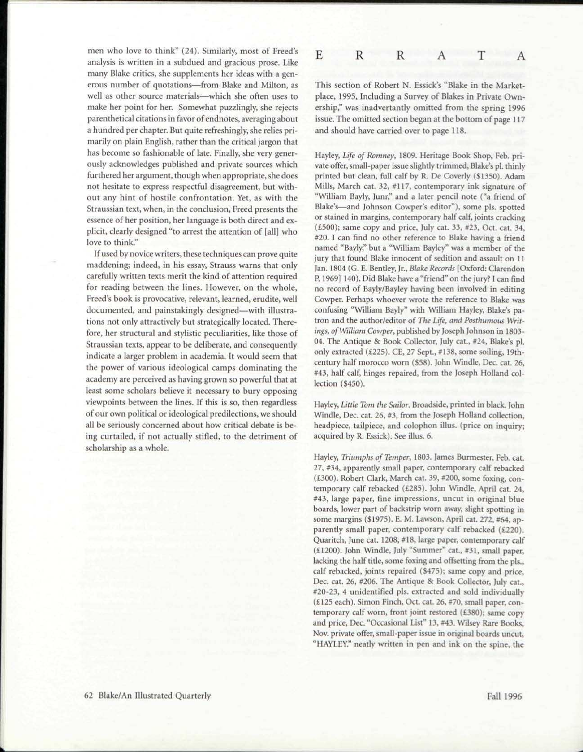men who love to think" (24). Similarly, most of Freed's analysis is written in a subdued and gracious prose. Like many Blake critics, she supplements her ideas with a generous number of quotations—from Blake and Milton, as well as other source materials—which she often uses to make her point for her. Somewhat puzzlingly, she rejects parenthetical citations in favor of endnotes, averaging about a hundred per chapter. But quite refreshingly, she relies primarily on plain English, rather than the critical jargon that has become so fashionable of late. Finally, she very generously acknowledges published and private sources which furthered her argument, though when appropriate, she does not hesitate to express respectful disagreement, but without any hint of hostile confrontation. Yet, as with the Straussian text, when, in the conclusion, Freed presents the essence of her position, her language is both direct and explicit, clearly designed "to arrest the attention of [all] who love to think."

If used by novice writers, these techniques can prove quite maddening; indeed, in his essay, Strauss warns that only carefully written texts merit the kind of attention required for reading between the lines. However, on the whole, Freed's book is provocative, relevant, learned, erudite, well documented, and painstakingly designed—with illustrations not only attractively but strategically located. Therefore, her structural and stylistic peculiarities, like those of Straussian texts, appear to be deliberate, and consequently indicate a larger problem in academia. It would seem that the power of various ideological camps dominating the academy are perceived as having grown so powerful that at least some scholars believe it necessary to bury opposing viewpoints between the lines. If this is so, then regardless of our own political or ideological predilections, we should all be seriously concerned about how critical debate is being curtailed, if not actually stifled, to the detriment of scholarship as a whole.



This section of Robert N. Essick's "Blake in the Marketplace, 1995, Including a Survey of Blakes in Private Ownership," was inadvertantly omitted from the spring 1996 issue. The omitted section began at the bottom of page 117 and should have carried over to page 118.

Hayley, *Life of Romney,* 1809. Heritage Book Shop, Feb. private offer, small-paper issue slightly trimmed, Blake's pi. thinly printed but clean, full calf by R. De Coverly (\$1350). Adam Mills, March cat. 32, #117, contemporary ink signature of "William Bayly, Junr," and a later pencil note ("a friend of Blake's—and Johnson Cowper's editor"), some pis. spotted or stained in margins, contemporary half calf, joints cracking (£500); same copy and price, July cat. 33, #23, Oct. cat. 34, #20. I can find no other reference to Blake having a friend named "Bayly," but a "William Bayley" was a member of the jury that found Blake innocent of sedition and assault on 11 Jan. 1804 (G. E. Bentley, Jr., *Blake Records* [Oxford: Clarendon P, 1969] 140). Did Blake have a "friend" on the jury? I can find no record of Bayly/Bayley having been involved in editing Cowper. Perhaps whoever wrote the reference to Blake was confusing "William Bayly" with William Hayley, Blake's patron and the author/editor of *The Life, and Posthumous Writings, of William Cowper,* published by Joseph Johnson in 1803- 04. The Antique & Book Collector, July cat., #24, Blake's pl. only extracted (£225). CE, 27 Sept., #138, some soiling, 19thcentury half morocco worn (\$58). John Windle, Dec. cat. 26, #43, half calf, hinges repaired, from the Joseph Holland collection (\$450).

Hayley, *Little Tom the Sailor.* Broadside, printed in black. John Windle, Dec. cat. 26, #3, from the Joseph Holland collection, headpiece, tailpiece, and colophon illus. (price on inquiry; acquired by R. Essick). See illus. 6.

Hayley, *Triumphs of Temper,* 1803. James Burmester, Feb. cat. 27, #34, apparently small paper, contemporary calf rebacked (£300). Robert Clark, March cat. 39, #200, some foxing, contemporary calf rebacked (£285). John Windle, April cat. 24, #43, large paper, fine impressions, uncut in original blue boards, lower part of backstrip worn away, slight spotting in some margins (\$1975). E. M. Lawson, April cat. 272, #64, apparently small paper, contemporary calf rebacked (£220). Quaritch, June cat. 1208, #18, large paper, contemporary calf (£1200). John Windle, July "Summer" cat., #31, small paper, lacking the half title, some foxing and offsetting from the pis., calf rebacked, joints repaired (\$475); same copy and price, Dec. cat. 26, #206. The Antique & Book Collector, July cat., #20-23, 4 unidentified pis. extracted and sold individually (£125 each). Simon Finch, Oct. cat. 26, #70, small paper, contemporary calf worn, front joint restored (£380); same copy and price, Dec. "Occasional List" 13, #43. Wilsey Rare Books, Nov. private offer, small-paper issue in original boards uncut, "HAYLEY." neatly written in pen and ink on the spine, the